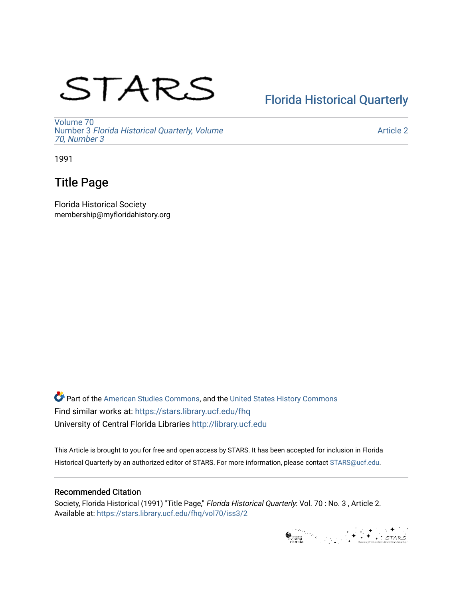# STARS

# [Florida Historical Quarterly](https://stars.library.ucf.edu/fhq)

[Volume 70](https://stars.library.ucf.edu/fhq/vol70) Number 3 [Florida Historical Quarterly, Volume](https://stars.library.ucf.edu/fhq/vol70/iss3)  [70, Number 3](https://stars.library.ucf.edu/fhq/vol70/iss3)

[Article 2](https://stars.library.ucf.edu/fhq/vol70/iss3/2) 

1991

# Title Page

Florida Historical Society membership@myfloridahistory.org

**C** Part of the [American Studies Commons](http://network.bepress.com/hgg/discipline/439?utm_source=stars.library.ucf.edu%2Ffhq%2Fvol70%2Fiss3%2F2&utm_medium=PDF&utm_campaign=PDFCoverPages), and the United States History Commons Find similar works at: <https://stars.library.ucf.edu/fhq> University of Central Florida Libraries [http://library.ucf.edu](http://library.ucf.edu/) 

This Article is brought to you for free and open access by STARS. It has been accepted for inclusion in Florida Historical Quarterly by an authorized editor of STARS. For more information, please contact [STARS@ucf.edu.](mailto:STARS@ucf.edu)

## Recommended Citation

Society, Florida Historical (1991) "Title Page," Florida Historical Quarterly: Vol. 70 : No. 3 , Article 2. Available at: [https://stars.library.ucf.edu/fhq/vol70/iss3/2](https://stars.library.ucf.edu/fhq/vol70/iss3/2?utm_source=stars.library.ucf.edu%2Ffhq%2Fvol70%2Fiss3%2F2&utm_medium=PDF&utm_campaign=PDFCoverPages) 

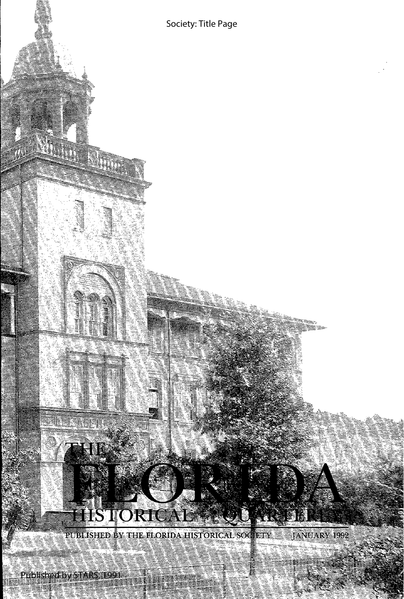

M.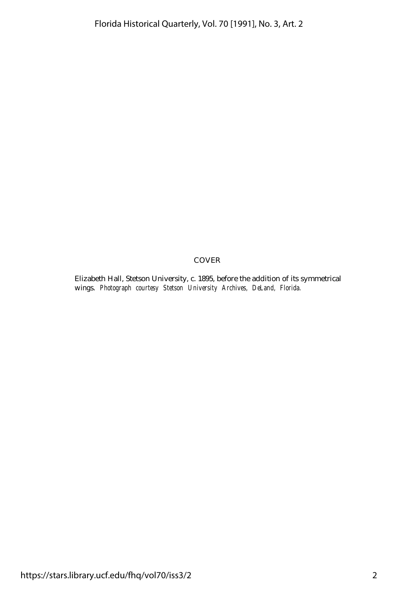### COVER

Elizabeth Hall, Stetson University, c. 1895, before the addition of its symmetrical wings. *Photograph courtesy Stetson University Archives, DeLand, Florida.*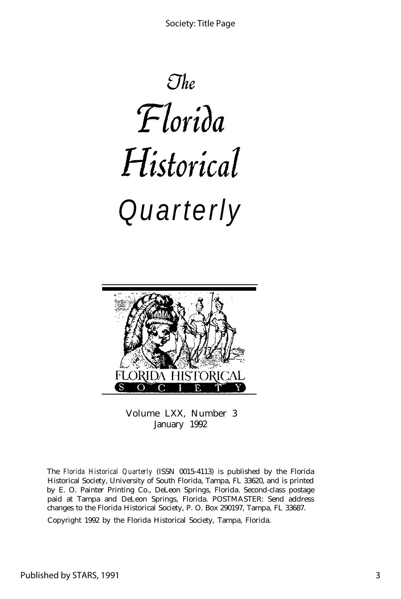$\mathcal{O}he$ Florida Historical *Quarterly*



Volume LXX, Number 3 January 1992

The *Florida Historical Quarterly* (ISSN 0015-4113) is published by the Florida Historical Society, University of South Florida, Tampa, FL 33620, and is printed by E. O. Painter Printing Co., DeLeon Springs, Florida. Second-class postage paid at Tampa and DeLeon Springs, Florida. POSTMASTER: Send address changes to the Florida Historical Society, P. O. Box 290197, Tampa, FL 33687.

Copyright 1992 by the Florida Historical Society, Tampa, Florida.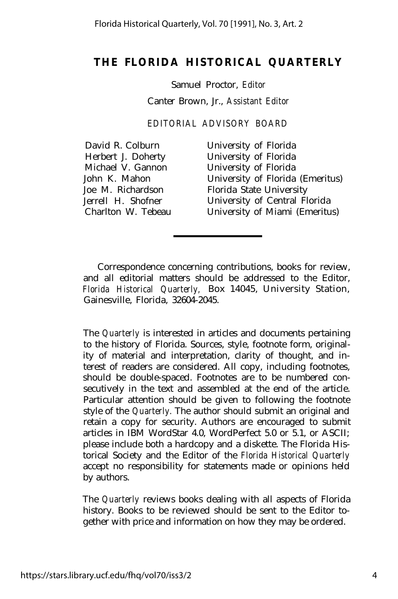## **THE FLORIDA HISTORICAL QUARTERLY**

Samuel Proctor, *Editor* Canter Brown, Jr., *Assistant Editor*

*EDITORIAL ADVISORY BOARD*

| David R. Colburn   | University of Florida            |
|--------------------|----------------------------------|
| Herbert J. Doherty | University of Florida            |
| Michael V. Gannon  | University of Florida            |
| John K. Mahon      | University of Florida (Emeritus) |
| Joe M. Richardson  | Florida State University         |
| Jerrell H. Shofner | University of Central Florida    |
| Charlton W. Tebeau | University of Miami (Emeritus)   |
|                    |                                  |

Correspondence concerning contributions, books for review, and all editorial matters should be addressed to the Editor, *Florida Historical Quarterly,* Box 14045, University Station, Gainesville, Florida, 32604-2045.

The *Quarterly* is interested in articles and documents pertaining to the history of Florida. Sources, style, footnote form, originality of material and interpretation, clarity of thought, and interest of readers are considered. All copy, including footnotes, should be double-spaced. Footnotes are to be numbered consecutively in the text and assembled at the end of the article. Particular attention should be given to following the footnote style of the *Quarterly.* The author should submit an original and retain a copy for security. Authors are encouraged to submit articles in IBM WordStar 4.0, WordPerfect 5.0 or 5.1, or ASCII; please include both a hardcopy and a diskette. The Florida Historical Society and the Editor of the *Florida Historical Quarterly* accept no responsibility for statements made or opinions held by authors.

The *Quarterly* reviews books dealing with all aspects of Florida history. Books to be reviewed should be sent to the Editor together with price and information on how they may be ordered.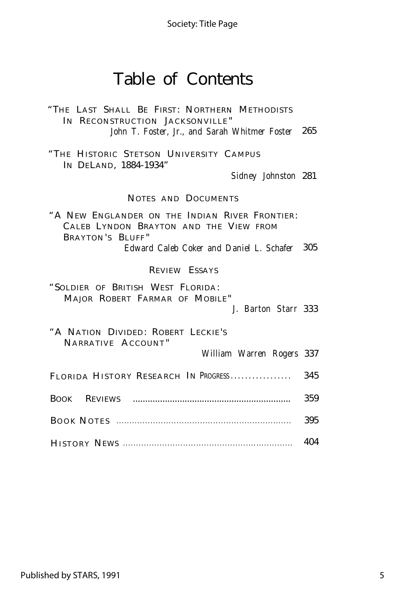Society: Title Page

# Table of Contents

"THE LAST SHALL BE FIRST: NORTHERN METHODISTS IN RECONSTRUCTION JACKSONVILLE" *John T. Foster, Jr., and Sarah Whitmer Foster* 265

"THE HISTORIC STETSON UNIVERSITY CAMPUS IN DELAND, 1884-1934"

*Sidney Johnston* 281

## NOTES AND DOCUMENTS

"A NEW ENGLANDER ON THE INDIAN RIVER FRONTIER: CALEB LYNDON BRAYTON AND THE VIEW FROM BRAYTON 'S BLUFF " *Edward Caleb Coker and Daniel L. Schafer* 305

#### REVIEW ESSAYS

"SOLDIER OF BRITISH WEST FLORIDA: MAJOR ROBERT FARMAR OF MOBILE"

*J. Barton Starr* 333

"A NATION DIVIDED: ROBERT LECKIE'S NARRATIVE ACCOUNT " *William Warren Rogers* 337 FLORIDA HISTORY RESEARCH IN PROGRESS.................... 345 BOOK REVIEWS ................................................................ 359

| - 395 |
|-------|
| 404   |